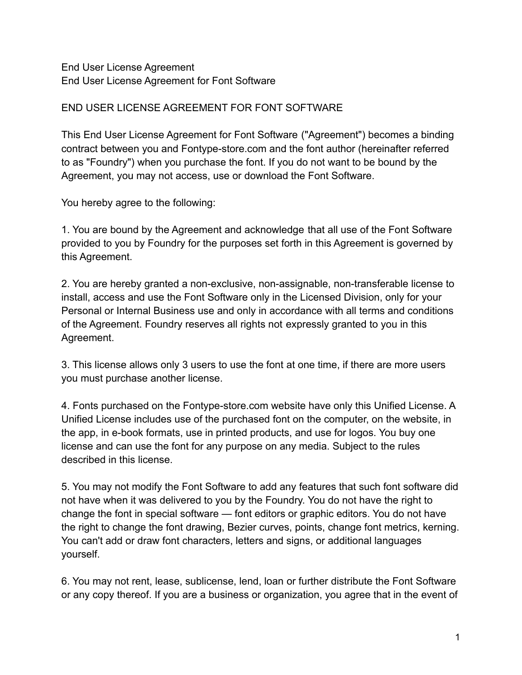End User License Agreement End User License Agreement for Font Software

## END USER LICENSE AGREEMENT FOR FONT SOFTWARE

This End User License Agreement for Font Software ("Agreement") becomes a binding contract between you and Fontype-store.com and the font author (hereinafter referred to as "Foundry") when you purchase the font. If you do not want to be bound by the Agreement, you may not access, use or download the Font Software.

You hereby agree to the following:

1. You are bound by the Agreement and acknowledge that all use of the Font Software provided to you by Foundry for the purposes set forth in this Agreement is governed by this Agreement.

2. You are hereby granted a non-exclusive, non-assignable, non-transferable license to install, access and use the Font Software only in the Licensed Division, only for your Personal or Internal Business use and only in accordance with all terms and conditions of the Agreement. Foundry reserves all rights not expressly granted to you in this Agreement.

3. This license allows only 3 users to use the font at one time, if there are more users you must purchase another license.

4. Fonts purchased on the Fontype-store.com website have only this Unified License. A Unified License includes use of the purchased font on the computer, on the website, in the app, in e-book formats, use in printed products, and use for logos. You buy one license and can use the font for any purpose on any media. Subject to the rules described in this license.

5. You may not modify the Font Software to add any features that such font software did not have when it was delivered to you by the Foundry. You do not have the right to change the font in special software — font editors or graphic editors. You do not have the right to change the font drawing, Bezier curves, points, change font metrics, kerning. You can't add or draw font characters, letters and signs, or additional languages yourself.

6. You may not rent, lease, sublicense, lend, loan or further distribute the Font Software or any copy thereof. If you are a business or organization, you agree that in the event of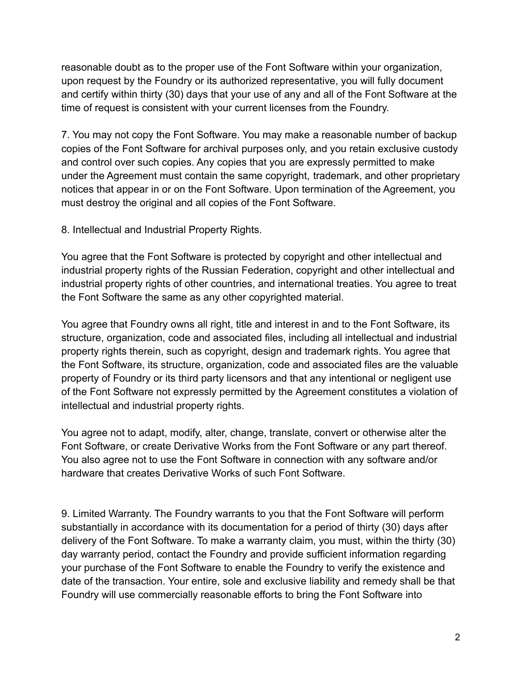reasonable doubt as to the proper use of the Font Software within your organization, upon request by the Foundry or its authorized representative, you will fully document and certify within thirty (30) days that your use of any and all of the Font Software at the time of request is consistent with your current licenses from the Foundry.

7. You may not copy the Font Software. You may make a reasonable number of backup copies of the Font Software for archival purposes only, and you retain exclusive custody and control over such copies. Any copies that you are expressly permitted to make under the Agreement must contain the same copyright, trademark, and other proprietary notices that appear in or on the Font Software. Upon termination of the Agreement, you must destroy the original and all copies of the Font Software.

8. Intellectual and Industrial Property Rights.

You agree that the Font Software is protected by copyright and other intellectual and industrial property rights of the Russian Federation, copyright and other intellectual and industrial property rights of other countries, and international treaties. You agree to treat the Font Software the same as any other copyrighted material.

You agree that Foundry owns all right, title and interest in and to the Font Software, its structure, organization, code and associated files, including all intellectual and industrial property rights therein, such as copyright, design and trademark rights. You agree that the Font Software, its structure, organization, code and associated files are the valuable property of Foundry or its third party licensors and that any intentional or negligent use of the Font Software not expressly permitted by the Agreement constitutes a violation of intellectual and industrial property rights.

You agree not to adapt, modify, alter, change, translate, convert or otherwise alter the Font Software, or create Derivative Works from the Font Software or any part thereof. You also agree not to use the Font Software in connection with any software and/or hardware that creates Derivative Works of such Font Software.

9. Limited Warranty. The Foundry warrants to you that the Font Software will perform substantially in accordance with its documentation for a period of thirty (30) days after delivery of the Font Software. To make a warranty claim, you must, within the thirty (30) day warranty period, contact the Foundry and provide sufficient information regarding your purchase of the Font Software to enable the Foundry to verify the existence and date of the transaction. Your entire, sole and exclusive liability and remedy shall be that Foundry will use commercially reasonable efforts to bring the Font Software into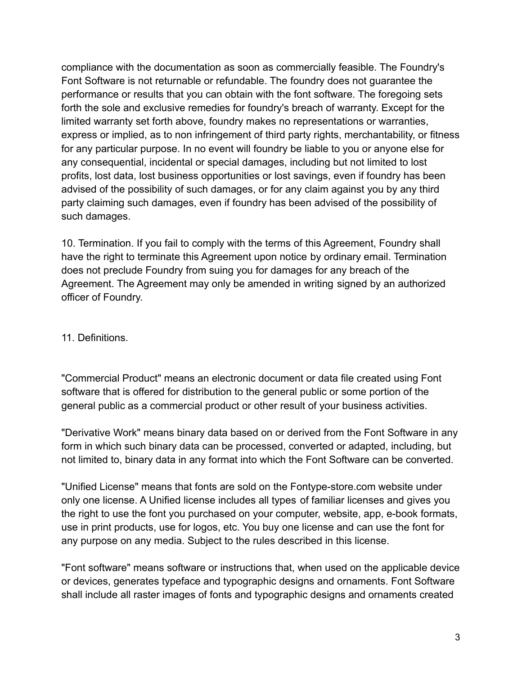compliance with the documentation as soon as commercially feasible. The Foundry's Font Software is not returnable or refundable. The foundry does not guarantee the performance or results that you can obtain with the font software. The foregoing sets forth the sole and exclusive remedies for foundry's breach of warranty. Except for the limited warranty set forth above, foundry makes no representations or warranties, express or implied, as to non infringement of third party rights, merchantability, or fitness for any particular purpose. In no event will foundry be liable to you or anyone else for any consequential, incidental or special damages, including but not limited to lost profits, lost data, lost business opportunities or lost savings, even if foundry has been advised of the possibility of such damages, or for any claim against you by any third party claiming such damages, even if foundry has been advised of the possibility of such damages.

10. Termination. If you fail to comply with the terms of this Agreement, Foundry shall have the right to terminate this Agreement upon notice by ordinary email. Termination does not preclude Foundry from suing you for damages for any breach of the Agreement. The Agreement may only be amended in writing signed by an authorized officer of Foundry.

11. Definitions.

"Commercial Product" means an electronic document or data file created using Font software that is offered for distribution to the general public or some portion of the general public as a commercial product or other result of your business activities.

"Derivative Work" means binary data based on or derived from the Font Software in any form in which such binary data can be processed, converted or adapted, including, but not limited to, binary data in any format into which the Font Software can be converted.

"Unified License" means that fonts are sold on the Fontype-store.com website under only one license. A Unified license includes all types of familiar licenses and gives you the right to use the font you purchased on your computer, website, app, e-book formats, use in print products, use for logos, etc. You buy one license and can use the font for any purpose on any media. Subject to the rules described in this license.

"Font software" means software or instructions that, when used on the applicable device or devices, generates typeface and typographic designs and ornaments. Font Software shall include all raster images of fonts and typographic designs and ornaments created